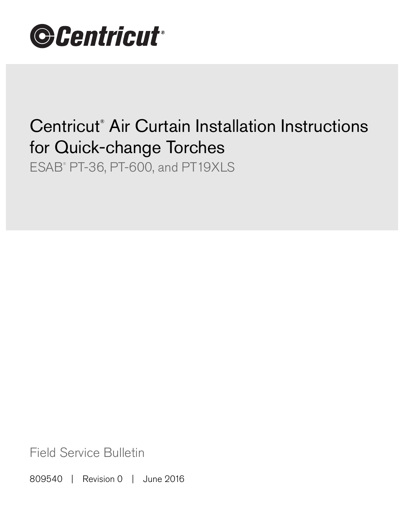

# Centricut® Air Curtain Installation Instructions for Quick-change Torches

ESAB® PT-36, PT-600, and PT19XLS

Field Service Bulletin

809540 | Revision 0 | June 2016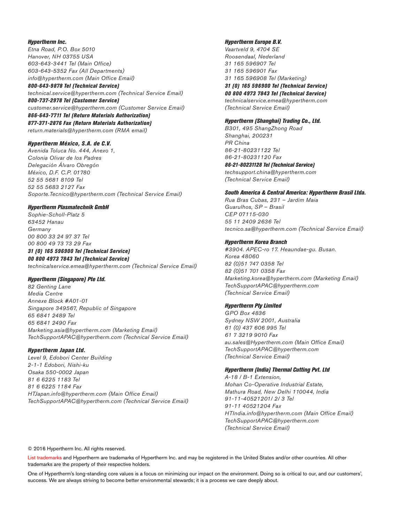### Hypertherm Inc.

Etna Road, P.O. Box 5010 Hanover, NH 03755 USA 603-643-3441 Tel (Main Office) 603-643-5352 Fax (All Departments) info@hypertherm.com (Main Office Email)

800-643-9878 Tel (Technical Service) technical.service@hypertherm.com (Technical Service Email) 800-737-2978 Tel (Customer Service)

customer.service@hypertherm.com (Customer Service Email)

866-643-7711 Tel (Return Materials Authorization) 877-371-2876 Fax (Return Materials Authorization) return.materials@hypertherm.com (RMA email)

### Hypertherm México, S.A. de C.V.

Avenida Toluca No. 444, Anexo 1, Colonia Olivar de los Padres Delegación Álvaro Obregón México, D.F. C.P. 01780 52 55 5681 8109 Tel 52 55 5683 2127 Fax Soporte.Tecnico@hypertherm.com (Technical Service Email)

### Hypertherm Plasmatechnik GmbH

Sophie-Scholl-Platz 5 63452 Hanau **Germany** 00 800 33 24 97 37 Tel 00 800 49 73 73 29 Fax

# 31 (0) 165 596900 Tel (Technical Service)

00 800 4973 7843 Tel (Technical Service) technicalservice.emea@hypertherm.com (Technical Service Email)

### Hypertherm (Singapore) Pte Ltd.

82 Genting Lane Media Centre Annexe Block #A01-01 Singapore 349567, Republic of Singapore 65 6841 2489 Tel 65 6841 2490 Fax Marketing.asia@hypertherm.com (Marketing Email) TechSupportAPAC@hypertherm.com (Technical Service Email)

### Hypertherm Japan Ltd.

Level 9, Edobori Center Building 2-1-1 Edobori, Nishi-ku Osaka 550-0002 Japan 81 6 6225 1183 Tel 81 6 6225 1184 Fax HTJapan.info@hypertherm.com (Main Office Email) TechSupportAPAC@hypertherm.com (Technical Service Email)

### Hypertherm Europe B.V.

Vaartveld 9, 4704 SE Roosendaal, Nederland 31 165 596907 Tel 31 165 596901 Fax 31 165 596908 Tel (Marketing) 31 (0) 165 596900 Tel (Technical Service) 00 800 4973 7843 Tel (Technical Service)

technicalservice.emea@hypertherm.com (Technical Service Email)

### Hypertherm (Shanghai) Trading Co., Ltd.

B301, 495 ShangZhong Road Shanghai, 200231 PR China 86-21-80231122 Tel 86-21-80231120 Fax

86-21-80231128 Tel (Technical Service) techsupport.china@hypertherm.com (Technical Service Email)

### South America & Central America: Hypertherm Brasil Ltda.

Rua Bras Cubas, 231 – Jardim Maia Guarulhos, SP – Brasil CEP 07115-030 55 11 2409 2636 Tel tecnico.sa@hypertherm.com (Technical Service Email)

### Hypertherm Korea Branch

#3904. APEC-ro 17. Heaundae-gu. Busan. Korea 48060 82 (0)51 747 0358 Tel 82 (0)51 701 0358 Fax Marketing.korea@hypertherm.com (Marketing Email) TechSupportAPAC@hypertherm.com (Technical Service Email)

### Hypertherm Pty Limited

GPO Box 4836 Sydney NSW 2001, Australia 61 (0) 437 606 995 Tel 61 7 3219 9010 Fax au.sales@Hypertherm.com (Main Office Email) TechSupportAPAC@hypertherm.com (Technical Service Email)

## Hypertherm (India) Thermal Cutting Pvt. Ltd

A-18 / B-1 Extension, Mohan Co-Operative Industrial Estate, Mathura Road, New Delhi 110044, India 91-11-40521201/ 2/ 3 Tel 91-11 40521204 Fax HTIndia.info@hypertherm.com (Main Office Email) TechSupportAPAC@hypertherm.com (Technical Service Email)

© 2016 Hypertherm Inc. All rights reserved.

List trademarks and Hypertherm are trademarks of Hypertherm Inc. and may be registered in the United States and/or other countries. All other trademarks are the property of their respective holders.

One of Hypertherm's long-standing core values is a focus on minimizing our impact on the environment. Doing so is critical to our, and our customers', success. We are always striving to become better environmental stewards; it is a process we care deeply about.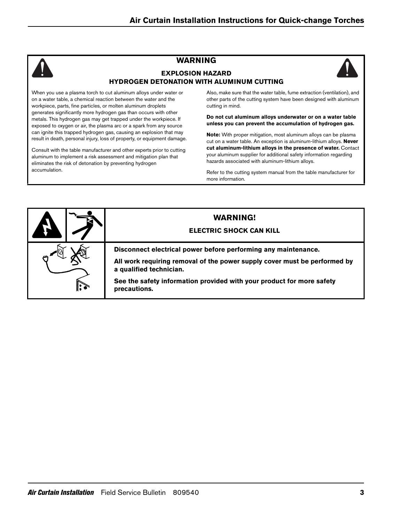# **WARNING**





When you use a plasma torch to cut aluminum alloys under water or on a water table, a chemical reaction between the water and the workpiece, parts, fine particles, or molten aluminum droplets generates significantly more hydrogen gas than occurs with other metals. This hydrogen gas may get trapped under the workpiece. If exposed to oxygen or air, the plasma arc or a spark from any source can ignite this trapped hydrogen gas, causing an explosion that may result in death, personal injury, loss of property, or equipment damage.

Consult with the table manufacturer and other experts prior to cutting aluminum to implement a risk assessment and mitigation plan that eliminates the risk of detonation by preventing hydrogen accumulation.

Also, make sure that the water table, fume extraction (ventilation), and other parts of the cutting system have been designed with aluminum cutting in mind.

**Do not cut aluminum alloys underwater or on a water table unless you can prevent the accumulation of hydrogen gas.**

**Note:** With proper mitigation, most aluminum alloys can be plasma cut on a water table. An exception is aluminum-lithium alloys. **Never cut aluminum-lithium alloys in the presence of water.** Contact your aluminum supplier for additional safety information regarding hazards associated with aluminum-lithium alloys.

Refer to the cutting system manual from the table manufacturer for more information.

|            | <b>WARNING!</b><br><b>ELECTRIC SHOCK CAN KILL</b>                                                                                                                                                                                                               |
|------------|-----------------------------------------------------------------------------------------------------------------------------------------------------------------------------------------------------------------------------------------------------------------|
| $\ddot{ }$ | Disconnect electrical power before performing any maintenance.<br>All work requiring removal of the power supply cover must be performed by<br>a qualified technician.<br>See the safety information provided with your product for more safety<br>precautions. |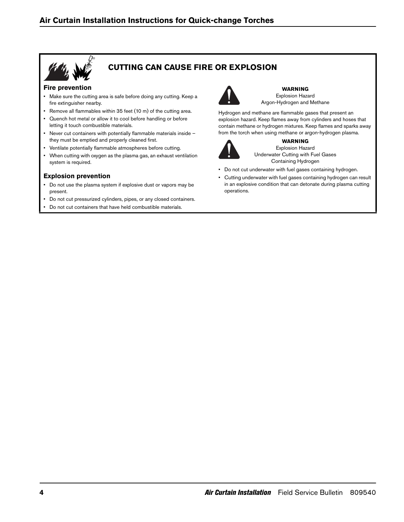

# **CUTTING CAN CAUSE FIRE OR EXPLOSION**

# **Fire prevention**

- Make sure the cutting area is safe before doing any cutting. Keep a fire extinguisher nearby.
- Remove all flammables within 35 feet (10 m) of the cutting area.
- Quench hot metal or allow it to cool before handling or before letting it touch combustible materials.
- Never cut containers with potentially flammable materials inside they must be emptied and properly cleaned first.
- Ventilate potentially flammable atmospheres before cutting.
- When cutting with oxygen as the plasma gas, an exhaust ventilation system is required.

# **Explosion prevention**

- Do not use the plasma system if explosive dust or vapors may be present.
- Do not cut pressurized cylinders, pipes, or any closed containers.
- Do not cut containers that have held combustible materials.



**WARNING** Explosion Hazard Argon-Hydrogen and Methane

Hydrogen and methane are flammable gases that present an explosion hazard. Keep flames away from cylinders and hoses that contain methane or hydrogen mixtures. Keep flames and sparks away from the torch when using methane or argon-hydrogen plasma.



**WARNING** Explosion Hazard Underwater Cutting with Fuel Gases Containing Hydrogen

- Do not cut underwater with fuel gases containing hydrogen.
- Cutting underwater with fuel gases containing hydrogen can result in an explosive condition that can detonate during plasma cutting operations.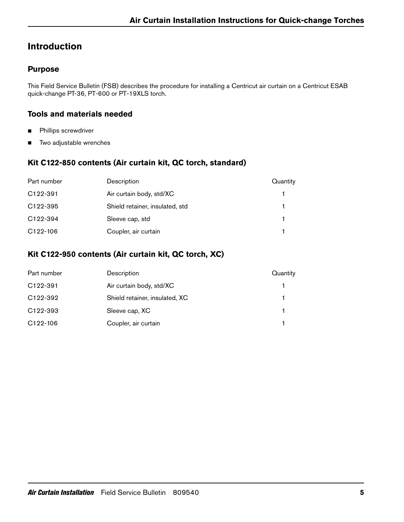# **Introduction**

# **Purpose**

This Field Service Bulletin (FSB) describes the procedure for installing a Centricut air curtain on a Centricut ESAB quick-change PT-36, PT-600 or PT-19XLS torch.

# **Tools and materials needed**

- **Phillips screwdriver**
- **Two adjustable wrenches**

# **Kit C122-850 contents (Air curtain kit, QC torch, standard)**

| Part number           | Description                     | Quantity |
|-----------------------|---------------------------------|----------|
| C <sub>122</sub> -391 | Air curtain body, std/XC        |          |
| C <sub>122</sub> -395 | Shield retainer, insulated, std |          |
| C <sub>122</sub> -394 | Sleeve cap, std                 |          |
| C <sub>122</sub> -106 | Coupler, air curtain            |          |

# **Kit C122-950 contents (Air curtain kit, QC torch, XC)**

| Part number           | Description                    | Quantity |
|-----------------------|--------------------------------|----------|
| C <sub>122</sub> -391 | Air curtain body, std/XC       |          |
| C <sub>122</sub> -392 | Shield retainer, insulated, XC |          |
| C <sub>122</sub> -393 | Sleeve cap, XC                 |          |
| C <sub>122</sub> -106 | Coupler, air curtain           |          |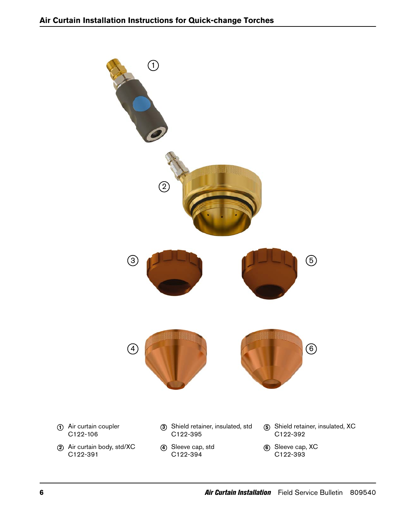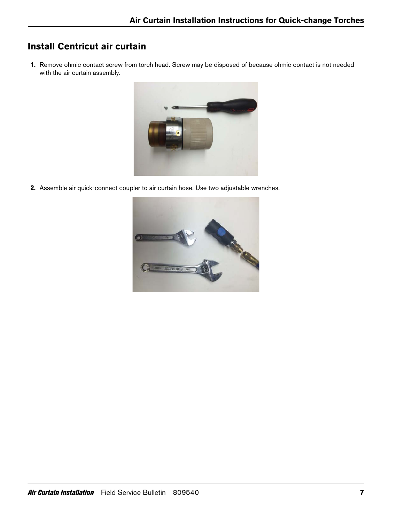# **Install Centricut air curtain**

1. Remove ohmic contact screw from torch head. Screw may be disposed of because ohmic contact is not needed with the air curtain assembly.



2. Assemble air quick-connect coupler to air curtain hose. Use two adjustable wrenches.

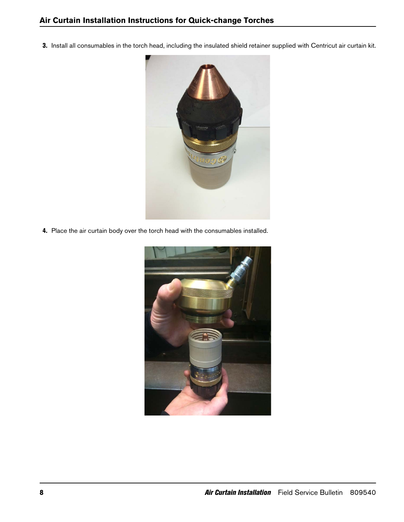3. Install all consumables in the torch head, including the insulated shield retainer supplied with Centricut air curtain kit.



4. Place the air curtain body over the torch head with the consumables installed.

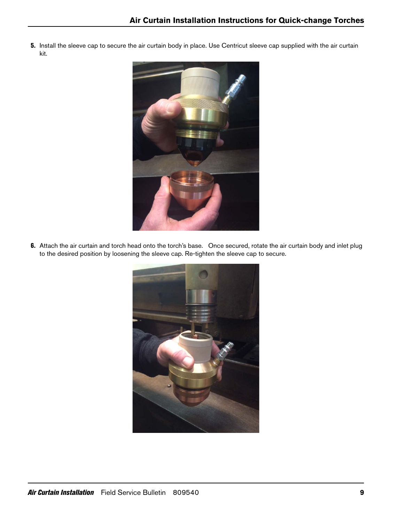5. Install the sleeve cap to secure the air curtain body in place. Use Centricut sleeve cap supplied with the air curtain kit.



6. Attach the air curtain and torch head onto the torch's base. Once secured, rotate the air curtain body and inlet plug to the desired position by loosening the sleeve cap. Re-tighten the sleeve cap to secure.